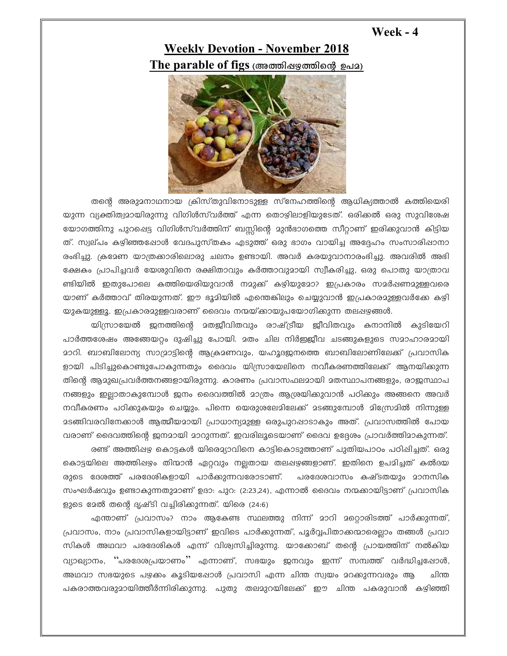## Week  $-4$

## **Weekly Devotion - November 2018** The parable of figs (അത്തിഷഴത്തിന്റെ ഉപമ)



തന്റെ അരുമനാഥനായ ക്രിസ്തുവിനോടുള്ള സ്നേഹത്തിന്റെ ആധിക്യത്താൽ കത്തിയെരി യുന്ന വ്യക്തിത്വമായിരുന്നു വിഗിൾസ്വർത്ത് എന്ന തൊഴിലാളിയുടേത്. ഒരിക്കൽ ഒരു സുവിശേഷ യോഗത്തിനു പുറപ്പെട്ട വിഗിൾസ്വർത്തിന് ബസ്സിന്റെ മുൻഭാഗത്തെ സീറ്റാണ് ഇരിക്കുവാൻ കിട്ടിയ ത്. സ്വല്പം കഴിഞ്ഞപ്പോൾ വേദപുസ്തകം എടുത്ത് ഒരു ഭാഗം വായിച്ച അദ്ദേഹം സംസാരിഷാനാ രംഭിച്ചു. ക്രമേണ യാത്രക്കാരിലൊരു ചലനം ഉണ്ടായി. അവർ കരയുവാനാരംഭിച്ചു. അവരിൽ അഭി ക്ഷേകം പ്രാപിച്ചവർ യേശുവിനെ രക്ഷിതാവും കർത്താവുമായി സ്വീകരിച്ചു, ഒരു പൊതു യാത്രാവ ണ്ടിയിൽ ഇതുപോലെ കത്തിയെരിയുവാൻ നമുക്ക് കഴിയുമോ? ഇപ്രകാരം സമർഷണമുള്ളവരെ യാണ് കർത്താവ് തിരയുന്നത്. ഈ ഭൂമിയിൽ എന്തെങ്കിലും ചെയ്യുവാൻ ഇപ്രകാരമുള്ളവർക്കേ കഴി യുകയുള്ളൂ. ഇപ്രകാരമുള്ളവരാണ് ദൈവം നന്മയ്ക്കായുപയോഗിക്കുന്ന തലപ്പഴങ്ങൾ.

യിസ്രായേൽ ജനത്തിന്റെ മതജീവിതവും രാഷ്ട്രീയ ജീവിതവും കനാനിൽ കുടിയേറി പാർത്തശേഷം അങ്ങേയറ്റം ദുഷിച്ചു പോയി. മതം ചില നിർഇജീവ ചടങ്ങുകളുടെ സമാഹാരമായി <u>മാറി. ബാബിലോന്യ സാമ്രാട്ടിന്റെ ആക്രമണവും, യഹൂദജനത്തെ ബാബിലോണിലേക്ക് പ്രവാസിക</u> ളായി പിടിച്ചുകൊണ്ടുപോകുന്നതും ദൈവം യിസ്രായേലിനെ നവീകരണത്തിലേക്ക് ആനയിക്കുന്ന തിന്റെ ആമുഖപ്രവർത്തനങ്ങളായിരുന്നു. കാരണം പ്രവാസഫലമായി മതസ്ഥാപനങ്ങളും, രാജസ്ഥാപ നങ്ങളും ഇല്ലാതാകുമ്പോൾ ജനം ദൈവത്തിൽ മാത്രം ആശ്രയിക്കുവാൻ പഠിക്കും അങ്ങനെ അവർ നവീകരണം പഠിക്കുകയും ചെയ്യും. പിന്നെ യെരുശലേമിലേക്ക് മടങ്ങുമ്പോൾ മിസ്രേമിൽ നിന്നുള്ള ദടങ്ങിവരവിനേക്കാൾ ആത്മീയമായി പ്രാധാന്യമുള്ള ഒരുപുറപ്പാടാകും അത്. പ്രവാസത്തിൽ പോയ വരാണ് ദൈവത്തിന്റെ ജനമായി മാറുന്നത്. ഇവരിലൂടെയാണ് ദൈവ ഉദ്ദേശം പ്രാവർത്തിമാകുന്നത്.

രണ്ട് അത്തിഷഴ കൊട്ടകൾ യിരെദ്യാവിനെ കാട്ടികൊടുത്താണ് പുതിയപാഠം പഠിഷിച്ചത്. ഒരു കൊട്ടയിലെ അത്തിഷഴം തിന്മാൻ ഏറ്റവും നല്ലതായ തലഷഴങ്ങളാണ്. ഇതിനെ ഉപമിച്ചത് കൽദയ രുടെ ദേശത്ത് പരദേശികളായി പാർക്കുന്നവരോടാണ്. പരദേശവാസം കഷ്ടതയും മാനസിക സംഘർഷവും ഉണ്ടാകുന്നതുമാണ് ഉദാ: പുറ: (2:23,24), എന്നാൽ ദൈവം നന്മക്കായിട്ടാണ് പ്രവാസിക ളുടെ മേൽ തന്റെ ദൃഷ്ടി വച്ചിരിക്കുന്നത്. യിരെ (24:6)

എന്താണ് പ്രവാസം? നാം ആകേണ്ട സ്ഥലത്തു നിന്ന് മാറി മറ്റൊരിടത്ത് പാർക്കുന്നത്, പ്രവാസം, നാം പ്രവാസികളായിട്ടാണ് ഇവിടെ പാർക്കുന്നത്, പൂർവ്വപിതാക്കന്മാരെല്ലാം തങ്ങൾ പ്രവാ സികൾ അഥവാ പരദേശികൾ എന്ന് വിശ്വസിച്ചിരുന്നു. യാക്കോബ് തന്റെ പ്രായത്തിന് നൽകിയ വ്യാഖ്യാനം, ''പരദേശപ്രയാണം'' എന്നാണ്, സഭയും ജനവും ഇന്ന് സമ്പത്ത് വർദ്ധിച്ചപ്പോൾ, അഥവാ സഭയുടെ പഴക്കം കൂടിയപ്പോൾ പ്രവാസി എന്ന ചിന്ത സ്വയം മറക്കുന്നവരും ആ ചിന്ത പകരാത്തവരുമായിത്തീർന്നിരിക്കുന്നു. പുതു തലമുറയിലേക്ക് ഈ ചിന്ത പകരുവാൻ കഴിഞ്ഞി